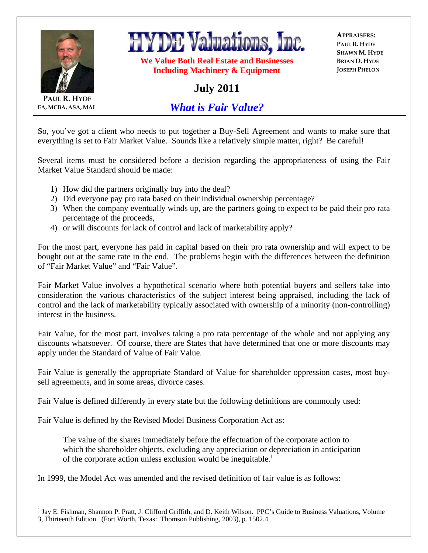



**We Value Both Real Estate and Businesses Including Machinery & Equipment** 

**APPRAISERS: PAUL R. HYDE SHAWN M. HYDE BRIAN D. HYDE JOSEPH PHELON**

## **July 2011**

**PAUL R. HYDE EA, MCBA, ASA, MAI**

 $\overline{a}$ 

*What is Fair Value?*

So, you've got a client who needs to put together a Buy-Sell Agreement and wants to make sure that everything is set to Fair Market Value. Sounds like a relatively simple matter, right? Be careful!

Several items must be considered before a decision regarding the appropriateness of using the Fair Market Value Standard should be made:

- 1) How did the partners originally buy into the deal?
- 2) Did everyone pay pro rata based on their individual ownership percentage?
- 3) When the company eventually winds up, are the partners going to expect to be paid their pro rata percentage of the proceeds,
- 4) or will discounts for lack of control and lack of marketability apply?

For the most part, everyone has paid in capital based on their pro rata ownership and will expect to be bought out at the same rate in the end. The problems begin with the differences between the definition of "Fair Market Value" and "Fair Value".

Fair Market Value involves a hypothetical scenario where both potential buyers and sellers take into consideration the various characteristics of the subject interest being appraised, including the lack of control and the lack of marketability typically associated with ownership of a minority (non-controlling) interest in the business.

Fair Value, for the most part, involves taking a pro rata percentage of the whole and not applying any discounts whatsoever. Of course, there are States that have determined that one or more discounts may apply under the Standard of Value of Fair Value.

Fair Value is generally the appropriate Standard of Value for shareholder oppression cases, most buysell agreements, and in some areas, divorce cases.

Fair Value is defined differently in every state but the following definitions are commonly used:

Fair Value is defined by the Revised Model Business Corporation Act as:

The value of the shares immediately before the effectuation of the corporate action to which the shareholder objects, excluding any appreciation or depreciation in anticipation of the corporate action unless exclusion would be inequitable.<sup>1</sup>

In 1999, the Model Act was amended and the revised definition of fair value is as follows:

<sup>&</sup>lt;sup>1</sup> Jay E. Fishman, Shannon P. Pratt, J. Clifford Griffith, and D. Keith Wilson. PPC's Guide to Business Valuations, Volume 3, Thirteenth Edition. (Fort Worth, Texas: Thomson Publishing, 2003), p. 1502.4.